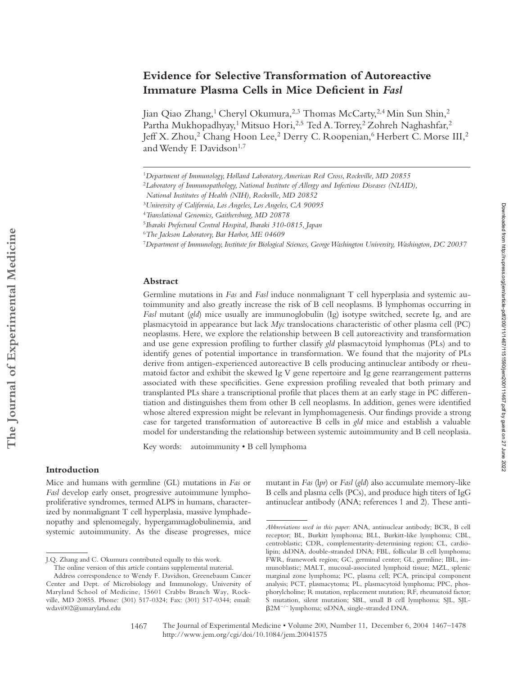# **Evidence for Selective Transformation of Autoreactive Immature Plasma Cells in Mice Deficient in** *Fasl*

Jian Qiao Zhang,<sup>1</sup> Cheryl Okumura,<sup>2,3</sup> Thomas McCarty,<sup>2,4</sup> Min Sun Shin,<sup>2</sup> Partha Mukhopadhyay,<sup>1</sup> Mitsuo Hori,<sup>2,5</sup> Ted A. Torrey,<sup>2</sup> Zohreh Naghashfar,<sup>2</sup> Jeff X. Zhou,<sup>2</sup> Chang Hoon Lee,<sup>2</sup> Derry C. Roopenian,<sup>6</sup> Herbert C. Morse III,<sup>2</sup> and Wendy F. Davidson<sup>1,7</sup>

## **Abstract**

Germline mutations in *Fas* and *Fasl* induce nonmalignant T cell hyperplasia and systemic autoimmunity and also greatly increase the risk of B cell neoplasms. B lymphomas occurring in *Fasl* mutant (*gld*) mice usually are immunoglobulin (Ig) isotype switched, secrete Ig, and are plasmacytoid in appearance but lack *Myc* translocations characteristic of other plasma cell (PC) neoplasms. Here, we explore the relationship between B cell autoreactivity and transformation and use gene expression profiling to further classify *gld* plasmacytoid lymphomas (PLs) and to identify genes of potential importance in transformation. We found that the majority of PLs derive from antigen-experienced autoreactive B cells producing antinuclear antibody or rheumatoid factor and exhibit the skewed Ig V gene repertoire and Ig gene rearrangement patterns associated with these specificities. Gene expression profiling revealed that both primary and transplanted PLs share a transcriptional profile that places them at an early stage in PC differentiation and distinguishes them from other B cell neoplasms. In addition, genes were identified whose altered expression might be relevant in lymphomagenesis. Our findings provide a strong case for targeted transformation of autoreactive B cells in *gld* mice and establish a valuable model for understanding the relationship between systemic autoimmunity and B cell neoplasia.

Key words: autoimmunity • B cell lymphoma

# **Introduction**

Mice and humans with germline (GL) mutations in *Fas* or *Fasl* develop early onset, progressive autoimmune lymphoproliferative syndromes, termed ALPS in humans, characterized by nonmalignant T cell hyperplasia, massive lymphadenopathy and splenomegaly, hypergammaglobulinemia, and systemic autoimmunity. As the disease progresses, mice mutant in *Fas* (l*pr*) or *Fasl* (*gld*) also accumulate memory-like B cells and plasma cells (PCs), and produce high titers of IgG antinuclear antibody (ANA; references 1 and 2). These anti-

<sup>1</sup>*Department of Immunology, Holland Laboratory, American Red Cross, Rockville, MD 20855*

<sup>2</sup>*Laboratory of Immunopathology, National Institute of Allergy and Infectious Diseases (NIAID),* 

*National Institutes of Health (NIH), Rockville, MD 20852*

<sup>3</sup>*University of California, Los Angeles, Los Angeles, CA 90095*

<sup>4</sup>*Translational Genomics, Gaithersburg, MD 20878*

<sup>5</sup>*Ibaraki Prefectural Central Hospital, Ibaraki 310-0815, Japan* 

<sup>6</sup>*The Jackson Laboratory, Bar Harbor, ME 04609*

<sup>7</sup>*Department of Immunology, Institute for Biological Sciences, George Washington University, Washington, DC 20037*

J.Q. Zhang and C. Okumura contributed equally to this work.

The online version of this article contains supplemental material.

Address correspondence to Wendy F. Davidson, Greenebaum Cancer Center and Dept. of Microbiology and Immunology, University of Maryland School of Medicine, 15601 Crabbs Branch Way, Rockville, MD 20855. Phone: (301) 517-0324; Fax: (301) 517-0344; email: wdavi002@umaryland.edu

*Abbreviations used in this paper:* ANA, antinuclear antibody; BCR, B cell receptor; BL, Burkitt lymphoma; BLL, Burkitt-like lymphoma; CBL, centroblastic; CDR, complementarity-determining region; CL, cardiolipin; dsDNA, double-stranded DNA; FBL, follicular B cell lymphoma; FWR, framework region; GC, germinal center; GL, germline; IBL, immunoblastic; MALT, mucosal-associated lymphoid tissue; MZL, splenic marginal zone lymphoma; PC, plasma cell; PCA, principal component analysis; PCT, plasmacytoma; PL, plasmacytoid lymphoma; PPC, phosphorylcholine; R mutation, replacement mutation; RF, rheumatoid factor; S mutation, silent mutation; SBL, small B cell lymphoma; SJL, SJL- 2M-- lymphoma; ssDNA, single-stranded DNA.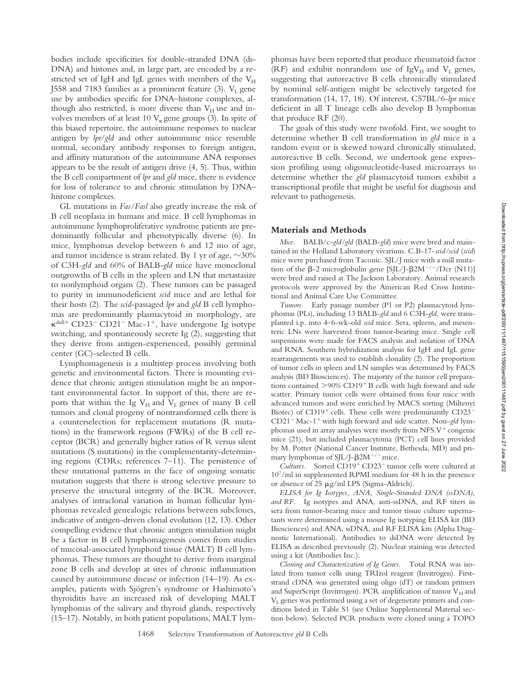bodies include specificities for double-stranded DNA (ds-DNA) and histones and, in large part, are encoded by a restricted set of IgH and IgL genes with members of the VH J558 and 7183 families as a prominent feature (3).  $V<sub>L</sub>$  gene use by antibodies specific for DNA–histone complexes, although also restricted, is more diverse than  $V_H$  use and involves members of at least 10  $V_{\kappa}$  gene groups (3). In spite of this biased repertoire, the autoimmune responses to nuclear antigen by *lpr*/*gld* and other autoimmune mice resemble normal, secondary antibody responses to foreign antigen, and affinity maturation of the autoimmune ANA responses appears to be the result of antigen drive (4, 5). Thus, within the B cell compartment of *lpr* and *gld* mice, there is evidence for loss of tolerance to and chronic stimulation by DNA– histone complexes.

GL mutations in *Fas/Fasl* also greatly increase the risk of B cell neoplasia in humans and mice. B cell lymphomas in autoimmune lymphoproliferative syndrome patients are predominantly follicular and phenotypically diverse (6). In mice, lymphomas develop between 6 and 12 mo of age, and tumor incidence is strain related. By 1 yr of age,  ${\sim}30\%$ of C3H-*gld* and 60% of BALB-*gld* mice have monoclonal outgrowths of B cells in the spleen and LN that metastasize to nonlymphoid organs (2). These tumors can be passaged to purity in immunodeficient *scid* mice and are lethal for their hosts (2). The *scid*-passaged *lpr* and *gld* B cell lymphomas are predominantly plasmacytoid in morphology, are K<sup>dull+</sup> CD23<sup>-</sup> CD21<sup>-</sup> Mac-1<sup>+</sup>, have undergone Ig isotype switching, and spontaneously secrete Ig (2), suggesting that they derive from antigen-experienced, possibly germinal center (GC)-selected B cells.

Lymphomagenesis is a multistep process involving both genetic and environmental factors. There is mounting evidence that chronic antigen stimulation might be an important environmental factor. In support of this, there are reports that within the Ig  $V_H$  and  $V_L$  genes of many B cell tumors and clonal progeny of nontransformed cells there is a counterselection for replacement mutations (R mutations) in the framework regions (FWRs) of the B cell receptor (BCR) and generally higher ratios of R versus silent mutations (S mutations) in the complementarity-determining regions (CDRs; references 7–11). The persistence of these mutational patterns in the face of ongoing somatic mutation suggests that there is strong selective pressure to preserve the structural integrity of the BCR. Moreover, analyses of intraclonal variation in human follicular lymphomas revealed genealogic relations between subclones, indicative of antigen-driven clonal evolution (12, 13). Other compelling evidence that chronic antigen stimulation might be a factor in B cell lymphomagenesis comes from studies of mucosal-associated lymphoid tissue (MALT) B cell lymphomas. These tumors are thought to derive from marginal zone B cells and develop at sites of chronic inflammation caused by autoimmune disease or infection (14–19). As examples, patients with Sjögren's syndrome or Hashimoto's thyroiditis have an increased risk of developing MALT lymphomas of the salivary and thyroid glands, respectively (15–17). Notably, in both patient populations, MALT lym-

phomas have been reported that produce rheumatoid factor (RF) and exhibit nonrandom use of IgV $_H$  and V<sub>L</sub> genes, suggesting that autoreactive B cells chronically stimulated by nominal self-antigen might be selectively targeted for transformation (14, 17, 18). Of interest, C57BL/6-*lpr* mice deficient in all T lineage cells also develop B lymphomas that produce RF (20).

The goals of this study were twofold. First, we sought to determine whether B cell transformation in *gld* mice is a random event or is skewed toward chronically stimulated, autoreactive B cells. Second, we undertook gene expression profiling using oligonucleotide-based microarrays to determine whether the *gld* plasmacytoid tumors exhibit a transcriptional profile that might be useful for diagnosis and relevant to pathogenesis.

### **Materials and Methods**

*Mice.* BALB/c-*gld/gld* (BALB-*gld*) mice were bred and maintained in the Holland Laboratory vivarium. C.B-17-*scid/scid* (*scid*) mice were purchased from Taconic. SJL/J mice with a null mutation of the  $\beta$ -2 microglobulin gene [SJL/J- $\beta$ 2M<sup>-/-</sup>/Dcr (N11)] were bred and raised at The Jackson Laboratory. Animal research protocols were approved by the American Red Cross Institutional and Animal Care Use Committee.

*Tumors.* Early passage number (P1 or P2) plasmacytoid lymphomas (PLs), including 13 BALB-*gld* and 6 C3H-*gld*, were transplanted i.p. into 4–6-wk-old *scid* mice. Sera, spleens, and mesenteric LNs were harvested from tumor-bearing mice. Single cell suspensions were made for FACS analysis and isolation of DNA and RNA. Southern hybridization analysis for IgH and IgL gene rearrangements was used to establish clonality (2). The proportion of tumor cells in spleen and LN samples was determined by FACS analysis (BD Biosciences). The majority of the tumor cell preparations contained  $>90\%$  CD19<sup>+</sup> B cells with high forward and side scatter. Primary tumor cells were obtained from four mice with advanced tumors and were enriched by MACS sorting (Miltenyi Biotec) of CD19<sup>+</sup> cells. These cells were predominantly CD23<sup>-</sup> CD21- Mac-1 with high forward and side scatter. Non-*gld* lymphomas used in array analyses were mostly from NFS.V<sup>+</sup> congenic mice (21), but included plasmacytoma (PCT) cell lines provided by M. Potter (National Cancer Institute, Bethesda, MD) and primary lymphomas of SJL/J- $\beta$ 2M<sup>-/-</sup> mice.

Cultures. Sorted CD19<sup>+</sup> CD23<sup>-</sup> tumor cells were cultured at 107/ml in supplemented RPMI medium for 48 h in the presence or absence of 25 µg/ml LPS (Sigma-Aldrich).

*ELISA for Ig Isotypes, ANA, Single-Stranded DNA (ssDNA), and RF.* Ig isotypes and ANA, anti-ssDNA, and RF titers in sera from tumor-bearing mice and tumor tissue culture supernatants were determined using a mouse Ig isotyping ELISA kit (BD Biosciences) and ANA, ssDNA, and RF ELISA kits (Alpha Diagnostic International). Antibodies to dsDNA were detected by ELISA as described previously (2). Nuclear staining was detected using a kit (Antibodies Inc.).

*Cloning and Characterization of Ig Genes.* Total RNA was isolated from tumor cells using TRIzol reagent (Invitrogen). Firststrand cDNA was generated using oligo (dT) or random primers and SuperScript (Invitrogen). PCR amplification of tumor  $V_H$  and  $V<sub>L</sub>$  genes was performed using a set of degenerate primers and conditions listed in Table S1 (see Online Supplemental Material section below). Selected PCR products were cloned using a TOPO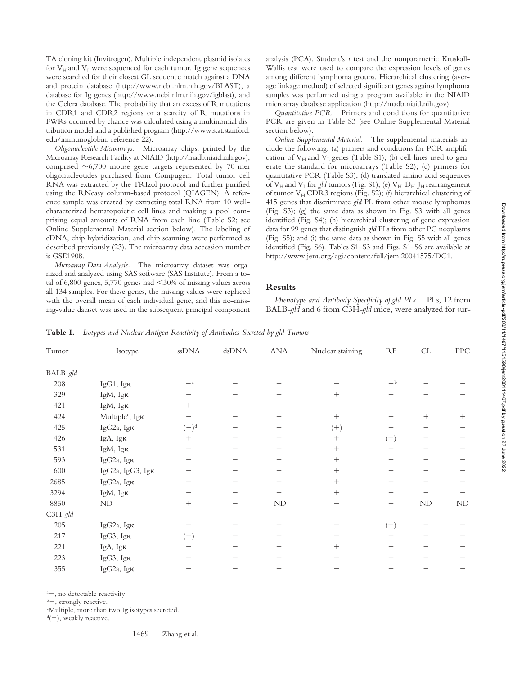TA cloning kit (Invitrogen). Multiple independent plasmid isolates for  $V_H$  and  $V_I$  were sequenced for each tumor. Ig gene sequences were searched for their closest GL sequence match against a DNA and protein database (http://www.ncbi.nlm.nih.gov/BLAST), a database for Ig genes (http://www.ncbi.nlm.nih.gov/igblast), and the Celera database. The probability that an excess of R mutations in CDR1 and CDR2 regions or a scarcity of R mutations in FWRs occurred by chance was calculated using a multinomial distribution model and a published program (http://www.stat.stanford. edu/immunoglobin; reference 22).

*Oligonucleotide Microarrays.* Microarray chips, printed by the Microarray Research Facility at NIAID (http://madb.niaid.nih.gov), comprised  $\sim 6,700$  mouse gene targets represented by 70-mer oligonucleotides purchased from Compugen. Total tumor cell RNA was extracted by the TRIzol protocol and further purified using the RNeasy column-based protocol (QIAGEN). A reference sample was created by extracting total RNA from 10 wellcharacterized hematopoietic cell lines and making a pool comprising equal amounts of RNA from each line (Table S2; see Online Supplemental Material section below). The labeling of cDNA, chip hybridization, and chip scanning were performed as described previously (23). The microarray data accession number is GSE1908.

*Microarray Data Analysis.* The microarray dataset was organized and analyzed using SAS software (SAS Institute). From a total of  $6,800$  genes,  $5,770$  genes had  $<30\%$  of missing values across all 134 samples. For these genes, the missing values were replaced with the overall mean of each individual gene, and this no-missing-value dataset was used in the subsequent principal component analysis (PCA). Student's *t* test and the nonparametric Kruskall-Wallis test were used to compare the expression levels of genes among different lymphoma groups. Hierarchical clustering (average linkage method) of selected significant genes against lymphoma samples was performed using a program available in the NIAID microarray database application (http://madb.niaid.nih.gov).

*Quantitative PCR.* Primers and conditions for quantitative PCR are given in Table S3 (see Online Supplemental Material section below).

*Online Supplemental Material.* The supplemental materials include the following: (a) primers and conditions for PCR amplification of  $V_H$  and  $V_I$  genes (Table S1); (b) cell lines used to generate the standard for microarrays (Table S2); (c) primers for quantitative PCR (Table S3); (d) translated amino acid sequences of  $V_H$  and  $V_L$  for *gld* tumors (Fig. S1); (e)  $V_H - D_H - J_H$  rearrangement of tumor VH CDR3 regions (Fig. S2); (f) hierarchical clustering of 415 genes that discriminate *gld* PL from other mouse lymphomas (Fig. S3); (g) the same data as shown in Fig. S3 with all genes identified (Fig. S4); (h) hierarchical clustering of gene expression data for 99 genes that distinguish *gld* PLs from other PC neoplasms (Fig. S5); and (i) the same data as shown in Fig. S5 with all genes identified (Fig. S6). Tables S1–S3 and Figs. S1–S6 are available at http://www.jem.org/cgi/content/full/jem.20041575/DC1.

#### **Results**

*Phenotype and Antibody Specificity of gld PLs.* PLs, 12 from BALB-*gld* and 6 from C3H-*gld* mice, were analyzed for sur-

**Table I.** *Isotypes and Nuclear Antigen Reactivity of Antibodies Secreted by gld Tumors*

| Tumor      | Isotype                                 | ssDNA     | dsDNA  | <b>ANA</b>  | Nuclear staining | $\rm RF$    | $\ensuremath{\textup{CL}}\xspace$ | <b>PPC</b> |
|------------|-----------------------------------------|-----------|--------|-------------|------------------|-------------|-----------------------------------|------------|
| BALB-gld   |                                         |           |        |             |                  |             |                                   |            |
| 208        | $IgG1$ , $Ig\kappa$                     | $-$ a     |        |             |                  | $+^{\rm b}$ |                                   |            |
| 329        | IgM, IgK                                |           |        | $+$         | $+$              | -           |                                   |            |
| 421        | IgM, IgK                                | $+$       |        |             |                  |             |                                   |            |
| 424        | Multiple <sup>c</sup> , Ig <sub>K</sub> |           | $^{+}$ | $^{+}$      | $^{+}$           |             | $^{+}$                            | $^{+}$     |
| 425        | IgG2a, IgK                              | $(+)^{d}$ |        |             | $(+)$            | $^{+}$      |                                   |            |
| 426        | IgA, Ig <sub>K</sub>                    | $^{+}$    |        | $^{+}$      | $^{+}$           | $(+)$       |                                   |            |
| 531        | IgM, IgK                                |           |        | $^{+}$      | $^{+}$           |             |                                   |            |
| 593        | IgG2a, IgK                              |           |        | $^{+}$      | $^{+}$           |             |                                   |            |
| 600        | IgG2a, IgG3, IgK                        |           |        | $^{+}$      | $^{+}$           |             |                                   |            |
| 2685       | IgG2a, IgK                              |           | $^{+}$ | $^{+}$      | $^{+}$           |             |                                   |            |
| 3294       | IgM, IgK                                |           |        | $^{+}$      | $^{+}$           |             |                                   |            |
| 8850       | $\mbox{ND}$                             | $^{+}$    |        | $\mbox{ND}$ |                  | $+$         | $\mbox{ND}$                       | ND         |
| $C3H$ -gld |                                         |           |        |             |                  |             |                                   |            |
| $205\,$    | IgG2a, IgK                              |           |        |             |                  | $(+)$       |                                   |            |
| 217        | IgG3, Ig $\kappa$                       | $(+)$     |        |             |                  |             |                                   |            |
| 221        | IgA, Ig <sub>K</sub>                    |           | $+$    | $^{+}$      | $^{+}$           |             |                                   |            |
| 223        | IgG3, IgK                               |           |        |             |                  |             |                                   |            |
| 355        | IgG2a, IgK                              |           |        |             |                  |             |                                   |            |

a-, no detectable reactivity.

<sup>b</sup>+, strongly reactive.

c Multiple, more than two Ig isotypes secreted.

 $d(+)$ , weakly reactive.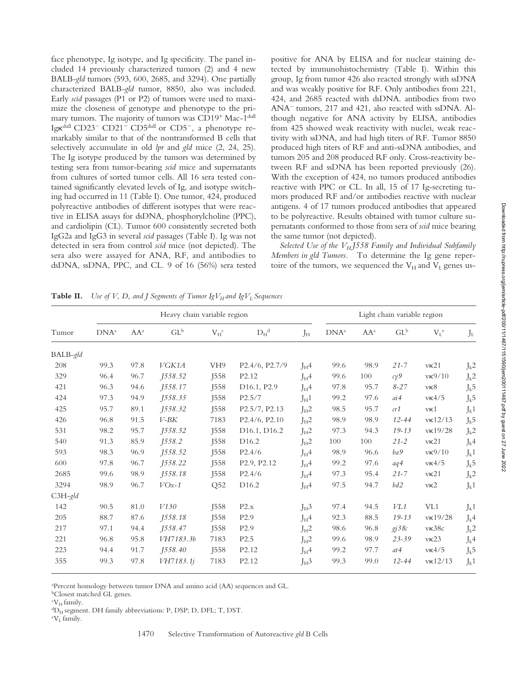face phenotype, Ig isotype, and Ig specificity. The panel included 14 previously characterized tumors (2) and 4 new BALB-*gld* tumors (593, 600, 2685, and 3294). One partially characterized BALB-*gld* tumor, 8850, also was included. Early *scid* passages (P1 or P2) of tumors were used to maximize the closeness of genotype and phenotype to the primary tumors. The majority of tumors was CD19<sup>+</sup> Mac-1<sup>dull</sup> Igk<sup>dull</sup> CD23<sup>-</sup> CD21<sup>-</sup> CD5<sup>dull</sup> or CD5<sup>-</sup>, a phenotype remarkably similar to that of the nontransformed B cells that selectively accumulate in old *lpr* and *gld* mice (2, 24, 25). The Ig isotype produced by the tumors was determined by testing sera from tumor-bearing *scid* mice and supernatants from cultures of sorted tumor cells. All 16 sera tested contained significantly elevated levels of Ig, and isotype switching had occurred in 11 (Table I). One tumor, 424, produced polyreactive antibodies of different isotypes that were reactive in ELISA assays for dsDNA, phosphorylcholine (PPC), and cardiolipin (CL). Tumor 600 consistently secreted both IgG2a and IgG3 in several *scid* passages (Table I). Ig was not detected in sera from control *scid* mice (not depicted). The sera also were assayed for ANA, RF, and antibodies to dsDNA, ssDNA, PPC, and CL. 9 of 16 (56%) sera tested positive for ANA by ELISA and for nuclear staining detected by immunohistochemistry (Table I). Within this group, Ig from tumor 426 also reacted strongly with ssDNA and was weakly positive for RF. Only antibodies from 221, 424, and 2685 reacted with dsDNA. antibodies from two ANA- tumors, 217 and 421, also reacted with ssDNA. Although negative for ANA activity by ELISA, antibodies from 425 showed weak reactivity with nuclei, weak reactivity with ssDNA, and had high titers of RF. Tumor 8850 produced high titers of RF and anti-ssDNA antibodies, and tumors 205 and 208 produced RF only. Cross-reactivity between RF and ssDNA has been reported previously (26). With the exception of 424, no tumors produced antibodies reactive with PPC or CL. In all, 15 of 17 Ig-secreting tumors produced RF and/or antibodies reactive with nuclear antigens. 4 of 17 tumors produced antibodies that appeared to be polyreactive. Results obtained with tumor culture supernatants conformed to those from sera of *scid* mice bearing the same tumor (not depicted).

*Selected Use of the V<sub>H</sub> J558 Family and Individual Subfamily Members in gld Tumors.* To determine the Ig gene repertoire of the tumors, we sequenced the  $V_H$  and  $V_L$  genes us-

| Tumor       | Heavy chain variable region |        |                |             |                                          |         | Light chain variable region |        |                       |                     |                |
|-------------|-----------------------------|--------|----------------|-------------|------------------------------------------|---------|-----------------------------|--------|-----------------------|---------------------|----------------|
|             | DNA <sup>a</sup>            | $AA^a$ | $GL^b$         | $V_H{}^c$   | $D_H^d$                                  | $J_H$   | $DNA^a$                     | $AA^a$ | $GL^b$                | $V_L^e$             | $J_{L}$        |
| $BALB$ -gld |                             |        |                |             |                                          |         |                             |        |                       |                     |                |
| 208         | 99.3                        | 97.8   | VGK1A          | VH9         | P <sub>2.4</sub> /6, P <sub>2.7</sub> /9 | $J_H4$  | 99.6                        | 98.9   | $21 - 7$              | $v$ $\kappa$ 21     | $J_k$ 2        |
| 329         | 96.4                        | 96.7   | J558.52        | J558        | P <sub>2.12</sub>                        | $J_H4$  | 99.6                        | 100    | $\alpha$ <sup>9</sup> | $v\kappa$ 9/10      | $J_k$ 2        |
| 421         | 96.3                        | 94.6   | J558.17        | J558        | D <sub>16.1</sub> , P <sub>2.9</sub>     | $J_H4$  | 97.8                        | 95.7   | $8 - 27$              | $v\kappa8$          | $J_k$ 5        |
| 424         | 97.3                        | 94.9   | J558.35        | <b>1558</b> | P2.5/7                                   | $J_H1$  | 99.2                        | 97.6   | ai4                   | $v\kappa$ 4/5       | $J_k$ 5        |
| 425         | 95.7                        | 89.1   | J558.32        | J558        | P2.5/7, P2.13                            | $J_H2$  | 98.5                        | 95.7   | cr1                   | $v\kappa$ 1         | $J_k$ 1        |
| 426         | 96.8                        | 91.5   | $V-BK$         | 7183        | P <sub>2.4</sub> /6, P <sub>2.10</sub>   | $J_H2$  | 98.9                        | 98.9   | $12 - 44$             | $v\kappa$ 12/13     | $J_k$ 5        |
| 531         | 98.2                        | 95.7   | J558.52        | J558        | D <sub>16.1</sub> , D <sub>16.2</sub>    | $J_H2$  | 97.3                        | 94.3   | $19 - 13$             | vk19/28             | $J_k$ 2        |
| 540         | 91.3                        | 85.9   | J558.2         | J558        | D <sub>16.2</sub>                        | $J_H2$  | 100                         | 100    | $21 - 2$              | $v$ $\kappa$ 21     | $J_k$ 4        |
| 593         | 98.3                        | 96.9   | <i>J558.52</i> | J558        | P2.4/6                                   | $J_H4$  | 98.9                        | 96.6   | ba9                   | $v\kappa$ 9/10      | $J_k$ 1        |
| 600         | 97.8                        | 96.7   | J558.22        | J558        | P <sub>2.9</sub> , P <sub>2.12</sub>     | $J_H4$  | 99.2                        | 97.6   | aq4                   | $v\kappa$ 4/5       | $J_k$ 5        |
| 2685        | 99.6                        | 98.9   | J558.18        | J558        | P2.4/6                                   | $J_H$ 4 | 97.3                        | 95.4   | $21 - 7$              | $v$ $k21$           | $J_k$ 2        |
| 3294        | 98.9                        | 96.7   | $VOx-1$        | Q52         | D <sub>16.2</sub>                        | $J_H4$  | 97.5                        | 94.7   | bd2                   | $v\kappa$ 2         | $J_k$ 1        |
| $C3H$ -gld  |                             |        |                |             |                                          |         |                             |        |                       |                     |                |
| 142         | 90.5                        | 81.0   | $V130\,$       | <b>1558</b> | P2.x                                     | $J_H$ 3 | 97.4                        | 94.5   | VL1                   | VL1                 | $J_{\lambda}1$ |
| 205         | 88.7                        | 87.6   | <i>J558.18</i> | J558        | P <sub>2.9</sub>                         | $J_H4$  | 92.3                        | 88.5   | $19 - 13$             | $v\kappa$ 19/28     | $J_k$ 4        |
| 217         | 97.1                        | 94.4   | J558.47        | J558        | P <sub>2.9</sub>                         | $J_H2$  | 98.6                        | 96.8   | gj38c                 | $v$ $\kappa$ 38 $c$ | $J_k$ 2        |
| 221         | 96.8                        | 95.8   | VH7183.3b      | 7183        | P <sub>2.5</sub>                         | $J_H2$  | 99.6                        | 98.9   | $23 - 39$             | $v\kappa$ 23        | $J_k$ 4        |
| 223         | 94.4                        | 91.7   | J558.40        | J558        | P <sub>2.12</sub>                        | $J_H$ 4 | 99.2                        | 97.7   | at4                   | $v\kappa$ 4/5       | $J_k$ 5        |
| 355         | 99.3                        | 97.8   | VH7183.1i      | 7183        | P <sub>2.12</sub>                        | $J_H$ 3 | 99.3                        | 99.0   | $12 - 44$             | $v\kappa$ 12/13     | $J_k$ 1        |

**Table II.** *Use of V, D, and J Segments of Tumor IgV<sub>H</sub> and IgV<sub>L</sub> Sequences* 

a Percent homology between tumor DNA and amino acid (AA) sequences and GL.

1470 Selective Transformation of Autoreactive *gld* B Cells

bClosest matched GL genes.

CV<sub>H</sub> family.

<sup>&</sup>lt;sup>d</sup>D<sub>H</sub> segment. DH family abbreviations: P, DSP; D, DFL; T, DST.

 $\mathrm{^{e}V}_{\mathrm{L}}$  family.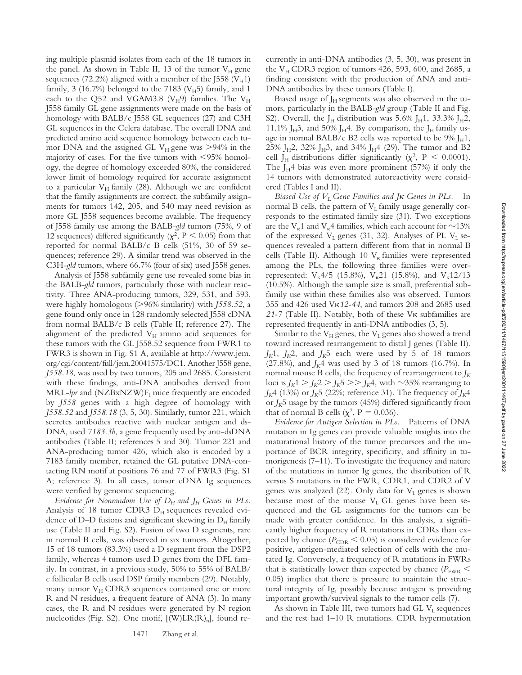ing multiple plasmid isolates from each of the 18 tumors in the panel. As shown in Table II, 13 of the tumor  $V_H$  gene sequences (72.2%) aligned with a member of the J558 ( $V_H1$ ) family, 3 (16.7%) belonged to the 7183 ( $V_H$ 5) family, and 1 each to the Q52 and VGAM3.8 ( $V_H$ 9) families. The  $V_H$ J558 family GL gene assignments were made on the basis of homology with BALB/c J558 GL sequences (27) and C3H GL sequences in the Celera database. The overall DNA and predicted amino acid sequence homology between each tumor DNA and the assigned GL  $V_H$  gene was >94% in the majority of cases. For the five tumors with  $\leq 95\%$  homology, the degree of homology exceeded 80%, the considered lower limit of homology required for accurate assignment to a particular  $V_H$  family (28). Although we are confident that the family assignments are correct, the subfamily assignments for tumors 142, 205, and 540 may need revision as more GL J558 sequences become available. The frequency of J558 family use among the BALB-*gld* tumors (75%, 9 of 12 sequences) differed significantly ( $\chi^2$ , P < 0.05) from that reported for normal BALB/c B cells (51%, 30 of 59 sequences; reference 29). A similar trend was observed in the C3H-*gld* tumors, where 66.7% (four of six) used J558 genes.

Analysis of J558 subfamily gene use revealed some bias in the BALB-*gld* tumors, particularly those with nuclear reactivity. Three ANA-producing tumors, 329, 531, and 593, were highly homologous (96% similarity) with *J558.52*, a gene found only once in 128 randomly selected J558 cDNA from normal BALB/c B cells (Table II; reference 27). The alignment of the predicted  $V_H$  amino acid sequences for these tumors with the GL J558.52 sequence from FWR1 to FWR3 is shown in Fig. S1 A, available at http://www.jem. org/cgi/content/full/jem.20041575/DC1. Another J558 gene, *J558.18*, was used by two tumors, 205 and 2685. Consistent with these findings, anti-DNA antibodies derived from MRL-lpr and (NZBxNZW)F<sub>1</sub> mice frequently are encoded by *J558* genes with a high degree of homology with *J558.52* and *J558.18* (3, 5, 30). Similarly, tumor 221, which secretes antibodies reactive with nuclear antigen and ds-DNA, used *7183.3b*, a gene frequently used by anti-dsDNA antibodies (Table II; references 5 and 30). Tumor 221 and ANA-producing tumor 426, which also is encoded by a 7183 family member, retained the GL putative DNA-contacting RN motif at positions 76 and 77 of FWR3 (Fig. S1 A; reference 3). In all cases, tumor cDNA Ig sequences were verified by genomic sequencing.

*Evidence for Nonrandom Use of*  $D_H$  *and*  $J_H$  *Genes in PLs.* Analysis of 18 tumor CDR3  $D<sub>H</sub>$  sequences revealed evidence of D–D fusions and significant skewing in  $D_H$  family use (Table II and Fig. S2). Fusion of two D segments, rare in normal B cells, was observed in six tumors. Altogether, 15 of 18 tumors (83.3%) used a D segment from the DSP2 family, whereas 4 tumors used D genes from the DFL family. In contrast, in a previous study, 50% to 55% of BALB/ c follicular B cells used DSP family members (29). Notably, many tumor  $V_H$  CDR3 sequences contained one or more R and N residues, a frequent feature of ANA (3). In many cases, the R and N residues were generated by N region nucleotides (Fig. S2). One motif,  $[(W)LR(R)_n]$ , found recurrently in anti-DNA antibodies (3, 5, 30), was present in the  $V_H$  CDR3 region of tumors 426, 593, 600, and 2685, a finding consistent with the production of ANA and anti-DNA antibodies by these tumors (Table I).

Biased usage of  $J_H$  segments was also observed in the tumors, particularly in the BALB-*gld* group (Table II and Fig. S2). Overall, the  $J_H$  distribution was 5.6%  $J_H$ 1, 33.3%  $J_H$ 2, 11.1%  $J_H$ 3, and 50%  $J_H$ 4. By comparison, the  $J_H$  family usage in normal BALB/c B2 cells was reported to be  $9\%$   $J_H1$ , 25%  $J_H2$ , 32%  $J_H3$ , and 34%  $J_H4$  (29). The tumor and B2 cell J<sub>H</sub> distributions differ significantly ( $\chi^2$ , P < 0.0001). The  $J_H$ 4 bias was even more prominent (57%) if only the 14 tumors with demonstrated autoreactivity were considered (Tables I and II).

*Biased Use of V<sub>L</sub> Gene Families and J<sub>K</sub> Genes in PLs.* In normal B cells, the pattern of  $V<sub>L</sub>$  family usage generally corresponds to the estimated family size (31). Two exceptions are the V<sub>K</sub>1 and V<sub>K</sub>4 families, which each account for  $\sim$ 13% of the expressed  $V_L$  genes (31, 32). Analyses of PL  $V_L$  sequences revealed a pattern different from that in normal B cells (Table II). Although 10  $V_{\kappa}$  families were represented among the PLs, the following three families were overrepresented:  $V_k$ 4/5 (15.8%),  $V_k$ 21 (15.8%), and  $V_k$ 12/13 (10.5%). Although the sample size is small, preferential subfamily use within these families also was observed. Tumors 355 and 426 used V*12-44*, and tumors 208 and 2685 used 21-7 (Table II). Notably, both of these V<sub>K</sub> subfamilies are represented frequently in anti-DNA antibodies (3, 5).

Similar to the  $V_H$  genes, the  $V_L$  genes also showed a trend toward increased rearrangement to distal J genes (Table II).  $J_K$ 1,  $J_K$ 2, and  $J_K$ 5 each were used by 5 of 18 tumors  $(27.8\%)$ , and *J<sub>K</sub>A* was used by 3 of 18 tumors (16.7%). In normal mouse B cells, the frequency of rearrangement to  $J_K$ loci is  $J_K$ 1 >  $J_K$ 2 >  $J_K$ 5 >>  $J_K$ 4, with  $\sim$ 35% rearranging to  $J_k$ 4 (13%) or  $J_k$ 5 (22%; reference 31). The frequency of  $J_k$ 4 or  $J_K$ 5 usage by the tumors (45%) differed significantly from that of normal B cells  $(\chi^2, P = 0.036)$ .

*Evidence for Antigen Selection in PLs.* Patterns of DNA mutation in Ig genes can provide valuable insights into the maturational history of the tumor precursors and the importance of BCR integrity, specificity, and affinity in tumorigenesis (7–11). To investigate the frequency and nature of the mutations in tumor Ig genes, the distribution of R versus S mutations in the FWR, CDR1, and CDR2 of V genes was analyzed (22). Only data for  $V<sub>L</sub>$  genes is shown because most of the mouse  $V<sub>L</sub>$  GL genes have been sequenced and the GL assignments for the tumors can be made with greater confidence. In this analysis, a significantly higher frequency of R mutations in CDRs than expected by chance ( $P_{CDR}$  < 0.05) is considered evidence for positive, antigen-mediated selection of cells with the mutated Ig. Conversely, a frequency of R mutations in FWRs that is statistically lower than expected by chance ( $P_{\text{FWR}}$  < 0.05) implies that there is pressure to maintain the structural integrity of Ig, possibly because antigen is providing important growth/survival signals to the tumor cells (7).

As shown in Table III, two tumors had GL  $V<sub>L</sub>$  sequences and the rest had 1–10 R mutations. CDR hypermutation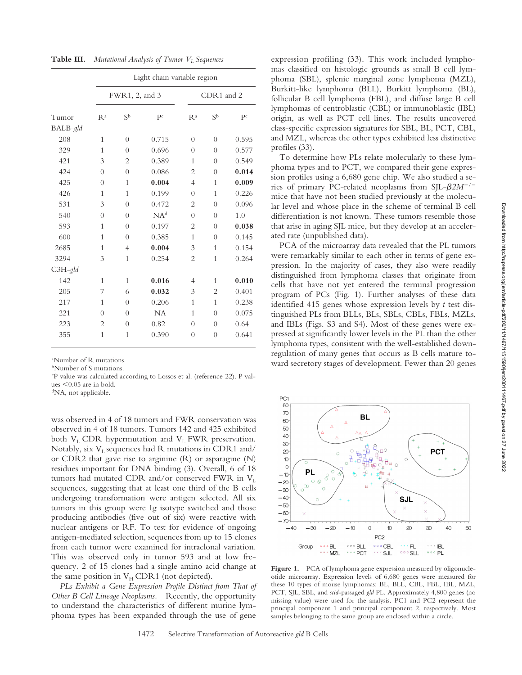**Table III.** *Mutational Analysis of Tumor V<sub>L</sub> Sequences* 

|          | Light chain variable region |                |                 |                |                |                |  |  |
|----------|-----------------------------|----------------|-----------------|----------------|----------------|----------------|--|--|
|          |                             | FWR1, 2, and 3 |                 | CDR1 and 2     |                |                |  |  |
| Tumor    | R <sup>a</sup>              | $S^{\rm b}$    | P <sup>c</sup>  | R <sup>a</sup> | $S^{\rm b}$    | P <sup>c</sup> |  |  |
| BALB-gld |                             |                |                 |                |                |                |  |  |
| 208      | 1                           | $\theta$       | 0.715           | $\theta$       | $\left($       | 0.595          |  |  |
| 329      | $\mathbf{1}$                | $\overline{0}$ | 0.696           | $\overline{0}$ | $\overline{0}$ | 0.577          |  |  |
| 421      | 3                           | $\overline{c}$ | 0.389           | 1              | $\theta$       | 0.549          |  |  |
| 424      | $\left( \right)$            | $\theta$       | 0.086           | $\overline{2}$ | $\overline{0}$ | 0.014          |  |  |
| 425      | $\left( \right)$            | $\mathbf{1}$   | 0.004           | $\overline{4}$ | $\mathbf{1}$   | 0.009          |  |  |
| 426      | $\mathbf{1}$                | 1              | 0.199           | $\overline{0}$ | 1              | 0.226          |  |  |
| 531      | 3                           | $\theta$       | 0.472           | $\overline{2}$ | $\theta$       | 0.096          |  |  |
| 540      | $\overline{0}$              | $\overline{0}$ | NA <sup>d</sup> | $\overline{0}$ | $\overline{0}$ | 1.0            |  |  |
| 593      | $\mathbf{1}$                | $\theta$       | 0.197           | $\overline{c}$ | $\overline{0}$ | 0.038          |  |  |
| 600      | $\mathbf{1}$                | $\theta$       | 0.385           | $\mathbf{1}$   | $\overline{0}$ | 0.145          |  |  |
| 2685     | $\mathbf{1}$                | $\overline{4}$ | 0.004           | 3              | $\overline{1}$ | 0.154          |  |  |
| 3294     | 3                           | $\overline{1}$ | 0.254           | $\overline{c}$ | $\overline{1}$ | 0.264          |  |  |
| C3H-gld  |                             |                |                 |                |                |                |  |  |
| 142      | $\mathbf{1}$                | $\overline{1}$ | 0.016           | $\overline{4}$ | $\overline{1}$ | 0.010          |  |  |
| 205      | 7                           | 6              | 0.032           | 3              | $\overline{2}$ | 0.401          |  |  |
| 217      | $\mathbf{1}$                | $\overline{0}$ | 0.206           | $\mathbf{1}$   | $\mathbf{1}$   | 0.238          |  |  |
| 221      | $\left( \right)$            | $\overline{0}$ | NA              | $\mathbf{1}$   | $\overline{0}$ | 0.075          |  |  |
| 223      | $\overline{c}$              | $\overline{0}$ | 0.82            | $\overline{0}$ | $\overline{0}$ | 0.64           |  |  |
| 355      | $\mathbf{1}$                | $\overline{1}$ | 0.390           | $\overline{0}$ | $\overline{0}$ | 0.641          |  |  |

a Number of R mutations.

bNumber of S mutations.

c P value was calculated according to Lossos et al. (reference 22). P values  $< 0.05$  are in bold.

<sup>d</sup>NA, not applicable.

was observed in 4 of 18 tumors and FWR conservation was observed in 4 of 18 tumors. Tumors 142 and 425 exhibited both  $V<sub>L</sub>$  CDR hypermutation and  $V<sub>L</sub>$  FWR preservation. Notably, six  $V<sub>L</sub>$  sequences had R mutations in CDR1 and/ or CDR2 that gave rise to arginine (R) or asparagine (N) residues important for DNA binding (3). Overall, 6 of 18 tumors had mutated CDR and/or conserved FWR in  $V<sub>L</sub>$ sequences, suggesting that at least one third of the B cells undergoing transformation were antigen selected. All six tumors in this group were Ig isotype switched and those producing antibodies (five out of six) were reactive with nuclear antigens or RF. To test for evidence of ongoing antigen-mediated selection, sequences from up to 15 clones from each tumor were examined for intraclonal variation. This was observed only in tumor 593 and at low frequency. 2 of 15 clones had a single amino acid change at the same position in  $V_H$  CDR1 (not depicted).

*PLs Exhibit a Gene Expression Profile Distinct from That of Other B Cell Lineage Neoplasms.* Recently, the opportunity to understand the characteristics of different murine lymphoma types has been expanded through the use of gene expression profiling (33). This work included lymphomas classified on histologic grounds as small B cell lymphoma (SBL), splenic marginal zone lymphoma (MZL), Burkitt-like lymphoma (BLL), Burkitt lymphoma (BL), follicular B cell lymphoma (FBL), and diffuse large B cell lymphomas of centroblastic (CBL) or immunoblastic (IBL) origin, as well as PCT cell lines. The results uncovered class-specific expression signatures for SBL, BL, PCT, CBL, and MZL, whereas the other types exhibited less distinctive profiles (33).

To determine how PLs relate molecularly to these lymphoma types and to PCT, we compared their gene expression profiles using a 6,680 gene chip. We also studied a series of primary PC-related neoplasms from SJL-*2M*-*/* mice that have not been studied previously at the molecular level and whose place in the scheme of terminal B cell differentiation is not known. These tumors resemble those that arise in aging SJL mice, but they develop at an accelerated rate (unpublished data).

PCA of the microarray data revealed that the PL tumors were remarkably similar to each other in terms of gene expression. In the majority of cases, they also were readily distinguished from lymphoma classes that originate from cells that have not yet entered the terminal progression program of PCs (Fig. 1). Further analyses of these data identified 415 genes whose expression levels by *t* test distinguished PLs from BLLs, BLs, SBLs, CBLs, FBLs, MZLs, and IBLs (Figs. S3 and S4). Most of these genes were expressed at significantly lower levels in the PL than the other lymphoma types, consistent with the well-established downregulation of many genes that occurs as B cells mature toward secretory stages of development. Fewer than 20 genes



Figure 1. PCA of lymphoma gene expression measured by oligonucleotide microarray. Expression levels of 6,680 genes were measured for these 10 types of mouse lymphomas: BL, BLL, CBL, FBL, IBL, MZL, PCT, SJL, SBL, and *scid*-passaged *gld* PL. Approximately 4,800 genes (no missing value) were used for the analysis. PC1 and PC2 represent the principal component 1 and principal component 2, respectively. Most samples belonging to the same group are enclosed within a circle.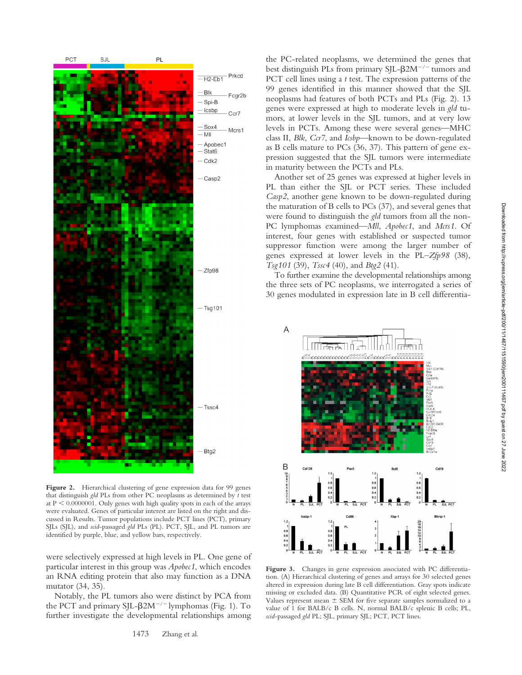

Figure 2. Hierarchical clustering of gene expression data for 99 genes that distinguish *gld* PLs from other PC neoplasms as determined by *t* test at  $P \leq 0.0000001$ . Only genes with high quality spots in each of the arrays were evaluated. Genes of particular interest are listed on the right and discussed in Results. Tumor populations include PCT lines (PCT), primary SJLs (SJL), and *scid*-passaged *gld* PLs (PL). PCT, SJL, and PL tumors are identified by purple, blue, and yellow bars, respectively.

were selectively expressed at high levels in PL. One gene of particular interest in this group was *Apobec1*, which encodes an RNA editing protein that also may function as a DNA mutator (34, 35).

Notably, the PL tumors also were distinct by PCA from the PCT and primary SJL- $\beta$ 2M<sup>-/-</sup>lymphomas (Fig. 1). To further investigate the developmental relationships among the PC-related neoplasms, we determined the genes that best distinguish PLs from primary SJL- $\beta$ 2M<sup>-/-</sup> tumors and PCT cell lines using a *t* test. The expression patterns of the 99 genes identified in this manner showed that the SJL neoplasms had features of both PCTs and PLs (Fig. 2). 13 genes were expressed at high to moderate levels in *gld* tumors, at lower levels in the SJL tumors, and at very low levels in PCTs. Among these were several genes—MHC class II, *Blk*, *Ccr7*, and *Icsbp*—known to be down-regulated as B cells mature to PCs (36, 37). This pattern of gene expression suggested that the SJL tumors were intermediate in maturity between the PCTs and PLs.

Another set of 25 genes was expressed at higher levels in PL than either the SJL or PCT series. These included *Casp2*, another gene known to be down-regulated during the maturation of B cells to PCs (37), and several genes that were found to distinguish the *gld* tumors from all the non-PC lymphomas examined—*Mll*, *Apobec1*, and *Mcrs1*. Of interest, four genes with established or suspected tumor suppressor function were among the larger number of genes expressed at lower levels in the PL–*Zfp98* (38), *Tsg101* (39), *Tssc4* (40), and *Btg2* (41).

To further examine the developmental relationships among the three sets of PC neoplasms, we interrogated a series of 30 genes modulated in expression late in B cell differentia-



Figure 3. Changes in gene expression associated with PC differentiation. (A) Hierarchical clustering of genes and arrays for 30 selected genes altered in expression during late B cell differentiation. Gray spots indicate missing or excluded data. (B) Quantitative PCR of eight selected genes. Values represent mean  $\pm$  SEM for five separate samples normalized to a value of 1 for BALB/c B cells. N, normal BALB/c splenic B cells; PL, *scid*-passaged *gld* PL; SJL, primary SJL; PCT, PCT lines.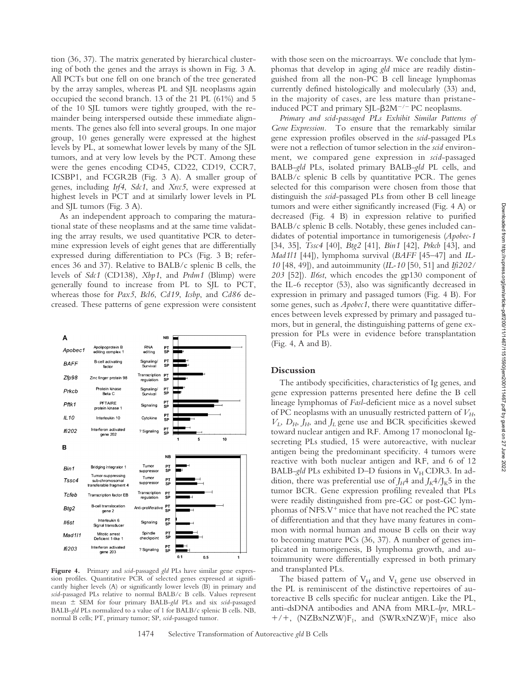tion (36, 37). The matrix generated by hierarchical clustering of both the genes and the arrays is shown in Fig. 3 A. All PCTs but one fell on one branch of the tree generated by the array samples, whereas PL and SJL neoplasms again occupied the second branch. 13 of the 21 PL (61%) and 5 of the 10 SJL tumors were tightly grouped, with the remainder being interspersed outside these immediate alignments. The genes also fell into several groups. In one major group, 10 genes generally were expressed at the highest levels by PL, at somewhat lower levels by many of the SJL tumors, and at very low levels by the PCT. Among these were the genes encoding CD45, CD22, CD19, CCR7, ICSBP1, and FCGR2B (Fig. 3 A). A smaller group of genes, including *Irf4*, *Sdc1*, and *Xrcc5*, were expressed at highest levels in PCT and at similarly lower levels in PL and SJL tumors (Fig. 3 A).

As an independent approach to comparing the maturational state of these neoplasms and at the same time validating the array results, we used quantitative PCR to determine expression levels of eight genes that are differentially expressed during differentiation to PCs (Fig. 3 B; references 36 and 37). Relative to BALB/c splenic B cells, the levels of *Sdc1* (CD138), *Xbp1*, and *Prdm1* (Blimp) were generally found to increase from PL to SJL to PCT, whereas those for *Pax5*, *Bcl6*, *Cd19*, *Icsbp*, and *Cd86* decreased. These patterns of gene expression were consistent



**Figure 4.** Primary and *scid*-passaged *gld* PLs have similar gene expression profiles. Quantitative PCR of selected genes expressed at significantly higher levels (A) or significantly lower levels (B) in primary and *scid*-passaged PLs relative to normal BALB/c B cells. Values represent mean  $\pm$  SEM for four primary BALB-*gld* PLs and six *scid*-passaged BALB-*gld* PLs normalized to a value of 1 for BALB/c splenic B cells. NB, normal B cells; PT, primary tumor; SP, *scid*-passaged tumor.

with those seen on the microarrays. We conclude that lymphomas that develop in aging *gld* mice are readily distinguished from all the non-PC B cell lineage lymphomas currently defined histologically and molecularly (33) and, in the majority of cases, are less mature than pristaneinduced PCT and primary SJL- $\beta$ 2M<sup>-/-</sup> PC neoplasms.

*Primary and scid-passaged PLs Exhibit Similar Patterns of Gene Expression.* To ensure that the remarkably similar gene expression profiles observed in the *scid*-passaged PLs were not a reflection of tumor selection in the *scid* environment, we compared gene expression in *scid*-passaged BALB-*gld* PLs, isolated primary BALB-*gld* PL cells, and BALB/c splenic B cells by quantitative PCR. The genes selected for this comparison were chosen from those that distinguish the *scid*-passaged PLs from other B cell lineage tumors and were either significantly increased (Fig. 4 A) or decreased (Fig. 4 B) in expression relative to purified BALB/c splenic B cells. Notably, these genes included candidates of potential importance in tumorigenesis (*Apobec-1* [34, 35], *Tssc4* [40], *Btg2* [41], *Bin1* [42], *Prkcb* [43], and *Mad1l1* [44]), lymphoma survival (*BAFF* [45–47] and *IL-10* [48, 49]), and autoimmunity (*IL-10* [50, 51] and *Ifi202/ 203* [52]). *Il6st*, which encodes the gp130 component of the IL-6 receptor (53), also was significantly decreased in expression in primary and passaged tumors (Fig. 4 B). For some genes, such as *Apobec1*, there were quantitative differences between levels expressed by primary and passaged tumors, but in general, the distinguishing patterns of gene expression for PLs were in evidence before transplantation (Fig. 4, A and B).

# **Discussion**

The antibody specificities, characteristics of Ig genes, and gene expression patterns presented here define the B cell lineage lymphomas of *Fasl*-deficient mice as a novel subset of PC neoplasms with an unusually restricted pattern of  $V_H$ ,  $V_L$ ,  $D_H$ ,  $J_H$ , and  $J_L$  gene use and BCR specificities skewed toward nuclear antigen and RF. Among 17 monoclonal Igsecreting PLs studied, 15 were autoreactive, with nuclear antigen being the predominant specificity. 4 tumors were reactive with both nuclear antigen and RF, and 6 of 12 BALB-*gld* PLs exhibited D–D fusions in V<sub>H</sub> CDR3. In addition, there was preferential use of  $J_H$ 4 and  $J_K$ 4/ $J_K$ 5 in the tumor BCR. Gene expression profiling revealed that PLs were readily distinguished from pre-GC or post-GC lymphomas of NFS. $V^+$  mice that have not reached the PC state of differentiation and that they have many features in common with normal human and mouse B cells on their way to becoming mature PCs (36, 37). A number of genes implicated in tumorigenesis, B lymphoma growth, and autoimmunity were differentially expressed in both primary and transplanted PLs.

The biased pattern of  $V_H$  and  $V_L$  gene use observed in the PL is reminiscent of the distinctive repertoires of autoreactive B cells specific for nuclear antigen. Like the PL, anti-dsDNA antibodies and ANA from MRL-*lpr*, MRL-  $+/+$ , (NZBxNZW)F<sub>1</sub>, and (SWRxNZW)F<sub>1</sub> mice also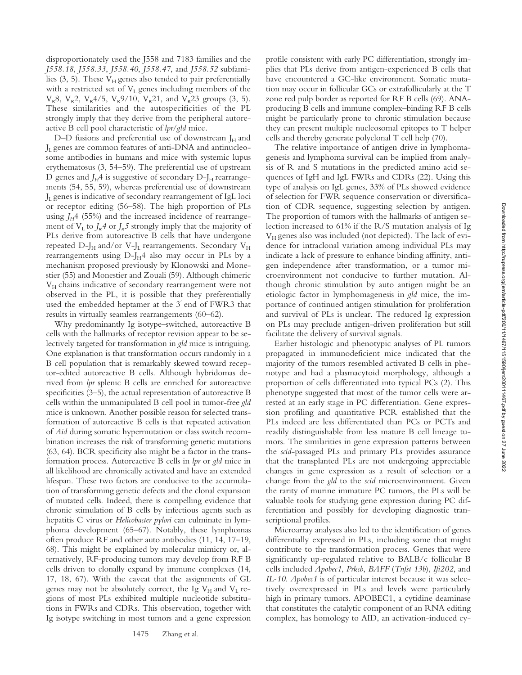disproportionately used the J558 and 7183 families and the *J558.18*, *J558.33*, *J558.40*, *J558.47*, and *J558.52* subfamilies  $(3, 5)$ . These  $V_H$  genes also tended to pair preferentially with a restricted set of  $V<sub>L</sub>$  genes including members of the  $V_{\kappa}8$ ,  $V_{\kappa}2$ ,  $V_{\kappa}4/5$ ,  $V_{\kappa}9/10$ ,  $V_{\kappa}21$ , and  $V_{\kappa}23$  groups (3, 5). These similarities and the autospecificities of the PL strongly imply that they derive from the peripheral autoreactive B cell pool characteristic of *lpr*/*gld* mice.

D–D fusions and preferential use of downstream  $J_H$  and  $J<sub>L</sub>$  genes are common features of anti-DNA and antinucleosome antibodies in humans and mice with systemic lupus erythematosus (3, 54–59). The preferential use of upstream D genes and  $J_H$ 4 is suggestive of secondary D- $J_H$  rearrangements (54, 55, 59), whereas preferential use of downstream  $J<sub>L</sub>$  genes is indicative of secondary rearrangement of IgL loci or receptor editing (56–58). The high proportion of PLs using  $J_H$ 4 (55%) and the increased incidence of rearrangement of  $V_L$  to  $J_K$ 4 or  $J_K$ 5 strongly imply that the majority of PLs derive from autoreactive B cells that have undergone repeated D-J<sub>H</sub> and/or V-J<sub>L</sub> rearrangements. Secondary V<sub>H</sub> rearrangements using D-JH4 also may occur in PLs by a mechanism proposed previously by Klonowski and Monestier (55) and Monestier and Zouali (59). Although chimeric  $V_H$  chains indicative of secondary rearrangement were not observed in the PL, it is possible that they preferentially used the embedded heptamer at the 3' end of FWR3 that results in virtually seamless rearrangements (60–62).

Why predominantly Ig isotype–switched, autoreactive B cells with the hallmarks of receptor revision appear to be selectively targeted for transformation in *gld* mice is intriguing. One explanation is that transformation occurs randomly in a B cell population that is remarkably skewed toward receptor-edited autoreactive B cells. Although hybridomas derived from *lpr* splenic B cells are enriched for autoreactive specificities (3–5), the actual representation of autoreactive B cells within the unmanipulated B cell pool in tumor-free *gld* mice is unknown. Another possible reason for selected transformation of autoreactive B cells is that repeated activation of *Aid* during somatic hypermutation or class switch recombination increases the risk of transforming genetic mutations (63, 64). BCR specificity also might be a factor in the transformation process. Autoreactive B cells in *lpr* or *gld* mice in all likelihood are chronically activated and have an extended lifespan. These two factors are conducive to the accumulation of transforming genetic defects and the clonal expansion of mutated cells. Indeed, there is compelling evidence that chronic stimulation of B cells by infectious agents such as hepatitis C virus or *Helicobacter pylori* can culminate in lymphoma development (65–67). Notably, these lymphomas often produce RF and other auto antibodies (11, 14, 17–19, 68). This might be explained by molecular mimicry or, alternatively, RF-producing tumors may develop from RF B cells driven to clonally expand by immune complexes (14, 17, 18, 67). With the caveat that the assignments of GL genes may not be absolutely correct, the Ig  $V_H$  and  $V_L$  regions of most PLs exhibited multiple nucleotide substitutions in FWRs and CDRs. This observation, together with Ig isotype switching in most tumors and a gene expression

profile consistent with early PC differentiation, strongly implies that PLs derive from antigen-experienced B cells that have encountered a GC-like environment. Somatic mutation may occur in follicular GCs or extrafollicularly at the T zone red pulp border as reported for RF B cells (69). ANAproducing B cells and immune complex–binding RF B cells might be particularly prone to chronic stimulation because they can present multiple nucleosomal epitopes to T helper cells and thereby generate polyclonal T cell help (70).

The relative importance of antigen drive in lymphomagenesis and lymphoma survival can be implied from analysis of R and S mutations in the predicted amino acid sequences of IgH and IgL FWRs and CDRs (22). Using this type of analysis on IgL genes, 33% of PLs showed evidence of selection for FWR sequence conservation or diversification of CDR sequence, suggesting selection by antigen. The proportion of tumors with the hallmarks of antigen selection increased to 61% if the R/S mutation analysis of Ig  $V_H$  genes also was included (not depicted). The lack of evidence for intraclonal variation among individual PLs may indicate a lack of pressure to enhance binding affinity, antigen independence after transformation, or a tumor microenvironment not conducive to further mutation. Although chronic stimulation by auto antigen might be an etiologic factor in lymphomagenesis in *gld* mice, the importance of continued antigen stimulation for proliferation and survival of PLs is unclear. The reduced Ig expression on PLs may preclude antigen-driven proliferation but still facilitate the delivery of survival signals.

Earlier histologic and phenotypic analyses of PL tumors propagated in immunodeficient mice indicated that the majority of the tumors resembled activated B cells in phenotype and had a plasmacytoid morphology, although a proportion of cells differentiated into typical PCs (2). This phenotype suggested that most of the tumor cells were arrested at an early stage in PC differentiation. Gene expression profiling and quantitative PCR established that the PLs indeed are less differentiated than PCs or PCTs and readily distinguishable from less mature B cell lineage tumors. The similarities in gene expression patterns between the *scid*-passaged PLs and primary PLs provides assurance that the transplanted PLs are not undergoing appreciable changes in gene expression as a result of selection or a change from the *gld* to the *scid* microenvironment. Given the rarity of murine immature PC tumors, the PLs will be valuable tools for studying gene expression during PC differentiation and possibly for developing diagnostic transcriptional profiles.

Microarray analyses also led to the identification of genes differentially expressed in PLs, including some that might contribute to the transformation process. Genes that were significantly up-regulated relative to BALB/c follicular B cells included *Apobec1*, *Prkcb*, *BAFF* (*Tnfst 13b*), *Ifi202*, and *IL-10*. *Apobec1* is of particular interest because it was selectively overexpressed in PLs and levels were particularly high in primary tumors. APOBEC1, a cytidine deaminase that constitutes the catalytic component of an RNA editing complex, has homology to AID, an activation-induced cy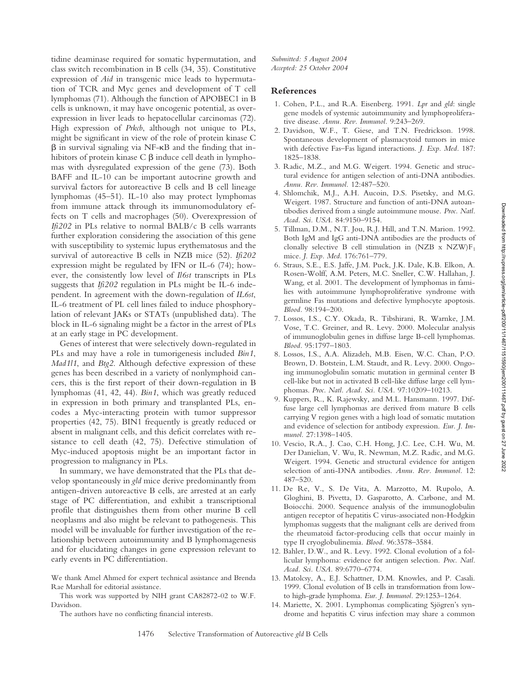tidine deaminase required for somatic hypermutation, and class switch recombination in B cells (34, 35). Constitutive expression of *Aid* in transgenic mice leads to hypermutation of TCR and Myc genes and development of T cell lymphomas (71). Although the function of APOBEC1 in B cells is unknown, it may have oncogenic potential, as overexpression in liver leads to hepatocellular carcinomas (72). High expression of *Prkcb*, although not unique to PLs, might be significant in view of the role of protein kinase C  $\beta$  in survival signaling via NF- $\kappa$ B and the finding that inhibitors of protein kinase  $C \beta$  induce cell death in lymphomas with dysregulated expression of the gene (73). Both BAFF and IL-10 can be important autocrine growth and survival factors for autoreactive B cells and B cell lineage lymphomas (45–51). IL-10 also may protect lymphomas from immune attack through its immunomodulatory effects on T cells and macrophages (50). Overexpression of *Ifi202* in PLs relative to normal BALB/c B cells warrants further exploration considering the association of this gene with susceptibility to systemic lupus erythematosus and the survival of autoreactive B cells in NZB mice (52). *Ifi202* expression might be regulated by IFN or IL-6 (74); however, the consistently low level of *Il6st* transcripts in PLs suggests that *Ifi202* regulation in PLs might be IL-6 independent. In agreement with the down-regulation of *IL6st*, IL-6 treatment of PL cell lines failed to induce phosphorylation of relevant JAKs or STATs (unpublished data). The block in IL-6 signaling might be a factor in the arrest of PLs at an early stage in PC development.

Genes of interest that were selectively down-regulated in PLs and may have a role in tumorigenesis included *Bin1*, *Mad1l1*, and *Btg2*. Although defective expression of these genes has been described in a variety of nonlymphoid cancers, this is the first report of their down-regulation in B lymphomas (41, 42, 44). *Bin1*, which was greatly reduced in expression in both primary and transplanted PLs, encodes a Myc-interacting protein with tumor suppressor properties (42, 75). BIN1 frequently is greatly reduced or absent in malignant cells, and this deficit correlates with resistance to cell death (42, 75). Defective stimulation of Myc-induced apoptosis might be an important factor in progression to malignancy in PLs.

In summary, we have demonstrated that the PLs that develop spontaneously in *gld* mice derive predominantly from antigen-driven autoreactive B cells, are arrested at an early stage of PC differentiation, and exhibit a transcriptional profile that distinguishes them from other murine B cell neoplasms and also might be relevant to pathogenesis. This model will be invaluable for further investigation of the relationship between autoimmunity and B lymphomagenesis and for elucidating changes in gene expression relevant to early events in PC differentiation.

We thank Amel Ahmed for expert technical assistance and Brenda Rae Marshall for editorial assistance.

This work was supported by NIH grant CA82872-02 to W.F. Davidson.

The authors have no conflicting financial interests.

*Submitted: 5 August 2004 Accepted: 25 October 2004*

#### **References**

- 1. Cohen, P.L., and R.A. Eisenberg. 1991. *Lpr* and *gld*: single gene models of systemic autoimmunity and lymphoproliferative disease. *Annu. Rev. Immunol.* 9:243–269.
- 2. Davidson, W.F., T. Giese, and T.N. Fredrickson. 1998. Spontaneous development of plasmacytoid tumors in mice with defective Fas–Fas ligand interactions. *J. Exp. Med.* 187: 1825–1838.
- 3. Radic, M.Z., and M.G. Weigert. 1994. Genetic and structural evidence for antigen selection of anti-DNA antibodies. *Annu. Rev. Immunol.* 12:487–520.
- 4. Shlomchik, M.J., A.H. Aucoin, D.S. Pisetsky, and M.G. Weigert. 1987. Structure and function of anti-DNA autoantibodies derived from a single autoimmune mouse. *Proc. Natl. Acad. Sci. USA.* 84:9150–9154.
- 5. Tillman, D.M., N.T. Jou, R.J. Hill, and T.N. Marion. 1992. Both IgM and IgG anti-DNA antibodies are the products of clonally selective B cell stimulation in (NZB x NZW) $F_1$ mice. *J. Exp. Med.* 176:761–779.
- 6. Straus, S.E., E.S. Jaffe, J.M. Puck, J.K. Dale, K.B. Elkon, A. Rosen-Wolff, A.M. Peters, M.C. Sneller, C.W. Hallahan, J. Wang, et al. 2001. The development of lymphomas in families with autoimmune lymphoproliferative syndrome with germline Fas mutations and defective lymphocyte apoptosis. *Blood.* 98:194–200.
- 7. Lossos, I.S., C.Y. Okada, R. Tibshirani, R. Warnke, J.M. Vose, T.C. Greiner, and R. Levy. 2000. Molecular analysis of immunoglobulin genes in diffuse large B-cell lymphomas. *Blood.* 95:1797–1803.
- 8. Lossos, I.S., A.A. Alizadeh, M.B. Eisen, W.C. Chan, P.O. Brown, D. Botstein, L.M. Staudt, and R. Levy. 2000. Ongoing immunoglobulin somatic mutation in germinal center B cell-like but not in activated B cell-like diffuse large cell lymphomas. *Proc. Natl. Acad. Sci. USA.* 97:10209–10213.
- 9. Kuppers, R., K. Rajewsky, and M.L. Hansmann. 1997. Diffuse large cell lymphomas are derived from mature B cells carrying V region genes with a high load of somatic mutation and evidence of selection for antibody expression. *Eur. J. Immunol.* 27:1398–1405.
- 10. Vescio, R.A., J. Cao, C.H. Hong, J.C. Lee, C.H. Wu, M. Der Danielian, V. Wu, R. Newman, M.Z. Radic, and M.G. Weigert. 1994. Genetic and structural evidence for antigen selection of anti-DNA antibodies. *Annu. Rev. Immunol.* 12: 487–520.
- 11. De Re, V., S. De Vita, A. Marzotto, M. Rupolo, A. Gloghini, B. Pivetta, D. Gasparotto, A. Carbone, and M. Boiocchi. 2000. Sequence analysis of the immunoglobulin antigen receptor of hepatitis C virus-associated non-Hodgkin lymphomas suggests that the malignant cells are derived from the rheumatoid factor-producing cells that occur mainly in type II cryoglobulinemia. *Blood.* 96:3578–3584.
- 12. Bahler, D.W., and R. Levy. 1992. Clonal evolution of a follicular lymphoma: evidence for antigen selection. *Proc. Natl. Acad. Sci. USA.* 89:6770–6774.
- 13. Matolcsy, A., E.J. Schattner, D.M. Knowles, and P. Casali. 1999. Clonal evolution of B cells in transformation from lowto high-grade lymphoma. *Eur. J. Immunol.* 29:1253–1264.
- 14. Mariette, X. 2001. Lymphomas complicating Sjögren's syndrome and hepatitis C virus infection may share a common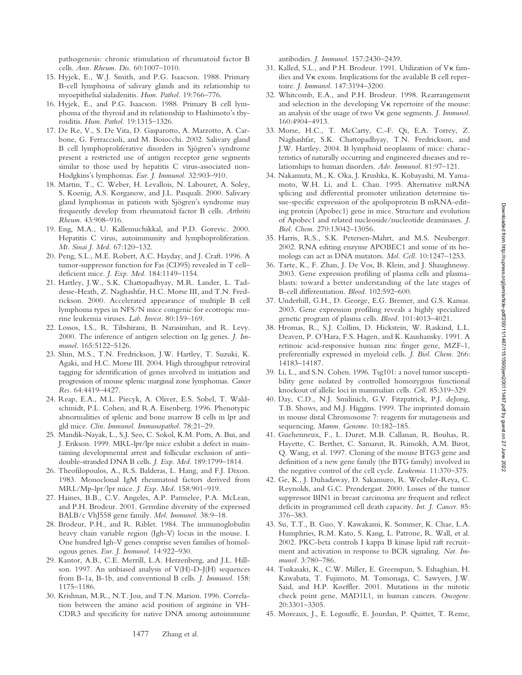pathogenesis: chronic stimulation of rheumatoid factor B cells. *Ann. Rheum. Dis.* 60:1007–1010.

- 15. Hyjek, E., W.J. Smith, and P.G. Isaacson. 1988. Primary B-cell lymphoma of salivary glands and its relationship to myoepithelial sialadenitis. *Hum. Pathol.* 19:766–776.
- 16. Hyjek, E., and P.G. Isaacson. 1988. Primary B cell lymphoma of the thyroid and its relationship to Hashimoto's thyroiditis. *Hum. Pathol.* 19:1315–1326.
- 17. De Re, V., S. De Vita, D. Gasparotto, A. Marzotto, A. Carbone, G. Ferraccioli, and M. Boiocchi. 2002. Salivary gland B cell lymphoproliferative disorders in Sjögren's syndrome present a restricted use of antigen receptor gene segments similar to those used by hepatitis C virus-associated non-Hodgkins's lymphomas. *Eur. J. Immunol.* 32:903–910.
- 18. Martin, T., C. Weber, H. Levallois, N. Labouret, A. Soley, S. Koenig, A.S. Korganow, and J.L. Pasquali. 2000. Salivary gland lymphomas in patients with Sjögren's syndrome may frequently develop from rheumatoid factor B cells. *Arthritis Rheum.* 43:908–916.
- 19. Eng, M.A., U. Kallemuchikkal, and P.D. Gorevic. 2000. Hepatitis C virus, autoimmunity and lymphoproliferation. *Mt. Sinai J. Med.* 67:120–132.
- 20. Peng, S.L., M.E. Robert, A.C. Hayday, and J. Craft. 1996. A tumor-suppressor function for Fas (CD95) revealed in T cell– deficient mice. *J. Exp. Med.* 184:1149–1154.
- 21. Hartley, J.W., S.K. Chattopadhyay, M.R. Lander, L. Taddesse-Heath, Z. Naghashfar, H.C. Morse III, and T.N. Fredrickson. 2000. Accelerated appearance of multiple B cell lymphoma types in NFS/N mice congenic for ecotropic murine leukemia viruses. *Lab. Invest.* 80:159–169.
- 22. Lossos, I.S., R. Tibshirani, B. Narasimhan, and R. Levy. 2000. The inference of antigen selection on Ig genes. *J. Immunol.* 165:5122–5126.
- 23. Shin, M.S., T.N. Fredrickson, J.W. Hartley, T. Suzuki, K. Agaki, and H.C. Morse III. 2004. High throughput retroviral tagging for identification of genes involved in initiation and progression of mouse splenic marginal zone lymphomas. *Cancer Res.* 64:4419–4427.
- 24. Reap, E.A., M.L. Piecyk, A. Oliver, E.S. Sobel, T. Waldschmidt, P.L. Cohen, and R.A. Eisenberg. 1996. Phenotypic abnormalities of splenic and bone marrow B cells in lpr and gld mice. *Clin. Immunol. Immunopathol.* 78:21–29.
- 25. Mandik-Nayak, L., S.J. Seo, C. Sokol, K.M. Potts, A. Bui, and J. Erikson. 1999. MRL-lpr/lpr mice exhibit a defect in maintaining developmental arrest and follicular exclusion of anti– double-stranded DNA B cells. *J. Exp. Med.* 189:1799–1814.
- 26. Theofilopoulos, A., R.S. Balderas, L. Hang, and F.J. Dixon. 1983. Monoclonal IgM rheumatoid factors derived from MRL/Mp-lpr/lpr mice. *J. Exp. Med.* 158:901–919.
- 27. Haines, B.B., C.V. Angeles, A.P. Parmelee, P.A. McLean, and P.H. Brodeur. 2001. Germline diversity of the expressed BALB/c VhJ558 gene family. *Mol. Immunol.* 38:9–18.
- 28. Brodeur, P.H., and R. Riblet. 1984. The immunoglobulin heavy chain variable region (Igh-V) locus in the mouse. I. One hundred Igh-V genes comprise seven families of homologous genes. *Eur. J. Immunol.* 14:922–930.
- 29. Kantor, A.B., C.E. Merrill, L.A. Herzenberg, and J.L. Hillson. 1997. An unbiased analysis of V(H)-D-J(H) sequences from B-1a, B-1b, and conventional B cells. *J. Immunol.* 158: 1175–1186.
- 30. Krishnan, M.R., N.T. Jou, and T.N. Marion. 1996. Correlation between the amino acid position of arginine in VH-CDR3 and specificity for native DNA among autoimmune

antibodies. *J. Immunol.* 157:2430–2439.

- 31. Kalled, S.L., and P.H. Brodeur. 1991. Utilization of V<sub>K</sub> families and  $V_K$  exons. Implications for the available  $B$  cell repertoire. *J. Immunol.* 147:3194–3200.
- 32. Whitcomb, E.A., and P.H. Brodeur. 1998. Rearrangement and selection in the developing V<sub>K</sub> repertoire of the mouse: an analysis of the usage of two  $V_K$  gene segments. *J. Immunol.* 160:4904–4913.
- 33. Morse, H.C., T. McCarty, C.-F. Qi, E.A. Torrey, Z. Naghashfar, S.K. Chattopadhyay, T.N. Fredrickson, and J.W. Hartley. 2004. B lymphoid neoplasms of mice: characteristics of naturally occurring and engineered diseases and relationships to human disorders. *Adv. Immunol.* 81:97–121.
- 34. Nakamuta, M., K. Oka, J. Krushka, K. Kobayashi, M. Yamamoto, W.H. Li, and L. Chan. 1995. Alternative mRNA splicing and differential promoter utilization determine tissue-specific expression of the apolipoprotein B mRNA-editing protein (Apobec1) gene in mice. Structure and evolution of Apobec1 and related nucleoside/nucleotide deaminases. *J. Biol. Chem.* 270:13042–13056.
- 35. Harris, R.S., S.K. Petersen-Mahrt, and M.S. Neuberger. 2002. RNA editing enzyme APOBEC1 and some of its homologs can act as DNA mutators. *Mol. Cell.* 10:1247–1253.
- 36. Tarte, K., F. Zhan, J. De Vos, B. Klein, and J. Shaughnessy. 2003. Gene expression profiling of plasma cells and plasmablasts: toward a better understanding of the late stages of B-cell differentiation. *Blood.* 102:592–600.
- 37. Underhill, G.H., D. George, E.G. Bremer, and G.S. Kansas. 2003. Gene expression profiling reveals a highly specialized genetic program of plasma cells. *Blood.* 101:4013–4021.
- 38. Hromas, R., S.J. Collins, D. Hickstein, W. Raskind, L.L. Deaven, P. O'Hara, F.S. Hagen, and K. Kaushansky. 1991. A retinoic acid-responsive human zinc finger gene, MZF-1, preferentially expressed in myeloid cells. *J. Biol. Chem.* 266: 14183–14187.
- 39. Li, L., and S.N. Cohen. 1996. Tsg101: a novel tumor susceptibility gene isolated by controlled homozygous functional knockout of allelic loci in mammalian cells. *Cell.* 85:319–329.
- 40. Day, C.D., N.J. Smilinich, G.V. Fitzpatrick, P.J. deJong, T.B. Shows, and M.J. Higgins. 1999. The imprinted domain in mouse distal Chromosome 7: reagents for mutagenesis and sequencing. *Mamm. Genome.* 10:182–185.
- 41. Guehenneux, F., L. Duret, M.B. Callanan, R. Bouhas, R. Hayette, C. Berthet, C. Samarut, R. Rimokh, A.M. Birot, Q. Wang, et al. 1997. Cloning of the mouse BTG3 gene and definition of a new gene family (the BTG family) involved in the negative control of the cell cycle. *Leukemia.* 11:370–375.
- 42. Ge, K., J. Duhadaway, D. Sakamuro, R. Wechsler-Reya, C. Reynolds, and G.C. Prendergast. 2000. Losses of the tumor suppressor BIN1 in breast carcinoma are frequent and reflect deficits in programmed cell death capacity. *Int. J. Cancer.* 85: 376–383.
- 43. Su, T.T., B. Guo, Y. Kawakami, K. Sommer, K. Chae, L.A. Humphries, R.M. Kato, S. Kang, L. Patrone, R. Wall, et al. 2002. PKC-beta controls I kappa B kinase lipid raft recruitment and activation in response to BCR signaling. *Nat. Immunol.* 3:780–786.
- 44. Tsukasaki, K., C.W. Miller, E. Greenspun, S. Eshaghian, H. Kawabata, T. Fujimoto, M. Tomonaga, C. Sawyers, J.W. Said, and H.P. Koeffler. 2001. Mutations in the mitotic check point gene, MAD1L1, in human cancers. *Oncogene.* 20:3301–3305.
- 45. Moreaux, J., E. Legouffe, E. Jourdan, P. Quittet, T. Reme,